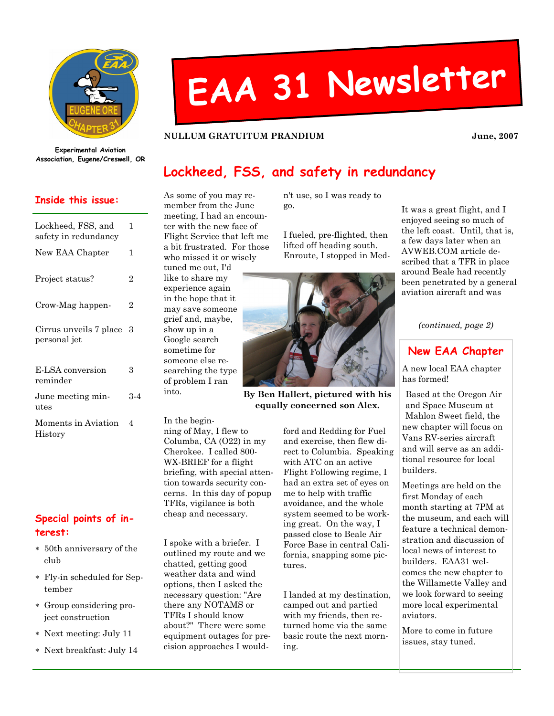

# EAA <sup>31</sup> Newsletter

#### NULLUM GRATUITUM PRANDIUM June, 2007

Experimental Aviation Association, Eugene/Creswell, OR

### Inside this issue:

| Lockheed, FSS, and<br>safety in redundancy | 1   |
|--------------------------------------------|-----|
| New EAA Chapter                            | 1   |
| Project status?                            | 2   |
| Crow-Mag happen-                           | 2   |
| Cirrus unveils 7 place<br>personal jet     | З   |
| E-LSA conversion<br>reminder               | 3   |
| June meeting min-<br>utes                  | 3-4 |
| Moments in Aviation<br>History             | 4   |

## Special points of interest:

- ∗ 50th anniversary of the club
- ∗ Fly-in scheduled for September
- ∗ Group considering project construction
- ∗ Next meeting: July 11
- ∗ Next breakfast: July 14

## Lockheed, FSS, and safety in redundancy

As some of you may remember from the June meeting, I had an encounter with the new face of Flight Service that left me a bit frustrated. For those who missed it or wisely tuned me out, I'd like to share my experience again in the hope that it may save someone grief and, maybe, show up in a Google search sometime for someone else researching the type of problem I ran into.

In the beginning of May, I flew to Columba, CA (O22) in my Cherokee. I called 800- WX-BRIEF for a flight briefing, with special attention towards security concerns. In this day of popup TFRs, vigilance is both cheap and necessary.

I spoke with a briefer. I outlined my route and we chatted, getting good weather data and wind options, then I asked the necessary question: "Are there any NOTAMS or TFRs I should know about?" There were some equipment outages for precision approaches I wouldn't use, so I was ready to go.

I fueled, pre-flighted, then lifted off heading south. Enroute, I stopped in Med-



By Ben Hallert, pictured with his equally concerned son Alex.

> ford and Redding for Fuel and exercise, then flew direct to Columbia. Speaking with ATC on an active Flight Following regime, I had an extra set of eyes on me to help with traffic avoidance, and the whole system seemed to be working great. On the way, I passed close to Beale Air Force Base in central California, snapping some pictures.

I landed at my destination, camped out and partied with my friends, then returned home via the same basic route the next morning.

It was a great flight, and I enjoyed seeing so much of the left coast. Until, that is, a few days later when an AVWEB.COM article described that a TFR in place around Beale had recently been penetrated by a general aviation aircraft and was

(continued, page 2)

## New EAA Chapter

A new local EAA chapter has formed!

Based at the Oregon Air and Space Museum at Mahlon Sweet field, the new chapter will focus on Vans RV-series aircraft and will serve as an additional resource for local builders.

Meetings are held on the first Monday of each month starting at 7PM at the museum, and each will feature a technical demonstration and discussion of local news of interest to builders. EAA31 welcomes the new chapter to the Willamette Valley and we look forward to seeing more local experimental aviators.

More to come in future issues, stay tuned.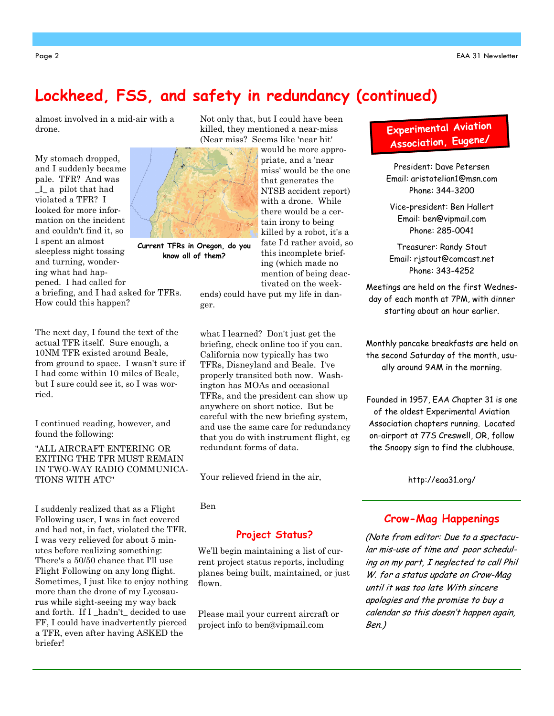# Lockheed, FSS, and safety in redundancy (continued)

almost involved in a mid-air with a drone.

My stomach dropped, and I suddenly became pale. TFR? And was \_I\_ a pilot that had violated a TFR? I looked for more information on the incident and couldn't find it, so I spent an almost sleepless night tossing and turning, wondering what had happened. I had called for a briefing, and I had asked for TFRs.

How could this happen?

ried.

briefer!

The next day, I found the text of the actual TFR itself. Sure enough, a 10NM TFR existed around Beale, from ground to space. I wasn't sure if I had come within 10 miles of Beale, but I sure could see it, so I was wor-

I continued reading, however, and

"ALL AIRCRAFT ENTERING OR EXITING THE TFR MUST REMAIN IN TWO-WAY RADIO COMMUNICA-

I suddenly realized that as a Flight Following user, I was in fact covered and had not, in fact, violated the TFR. I was very relieved for about 5 minutes before realizing something: There's a 50/50 chance that I'll use Flight Following on any long flight. Sometimes, I just like to enjoy nothing more than the drone of my Lycosaurus while sight-seeing my way back and forth. If I \_hadn't\_ decided to use FF, I could have inadvertently pierced a TFR, even after having ASKED the

found the following:

TIONS WITH ATC"

would be more appropriate, and a 'near

Current TFRs in Oregon, do you know all of them?

miss' would be the one that generates the NTSB accident report) with a drone. While there would be a certain irony to being killed by a robot, it's a fate I'd rather avoid, so this incomplete briefing (which made no mention of being deactivated on the week-

ends) could have put my life in danger.

Not only that, but I could have been killed, they mentioned a near-miss (Near miss? Seems like 'near hit'

what I learned? Don't just get the briefing, check online too if you can. California now typically has two TFRs, Disneyland and Beale. I've properly transited both now. Washington has MOAs and occasional TFRs, and the president can show up anywhere on short notice. But be careful with the new briefing system, and use the same care for redundancy that you do with instrument flight, eg redundant forms of data.

Your relieved friend in the air,

Ben

#### Project Status?

We'll begin maintaining a list of current project status reports, including planes being built, maintained, or just flown.

Please mail your current aircraft or project info to ben@vipmail.com

## Experimenta<sup>l</sup> Aviation Association, Eugene/

President: Dave Petersen Email: aristotelian1@msn.com Phone: 344-3200

Vice-president: Ben Hallert Email: ben@vipmail.com Phone: 285-0041

Treasurer: Randy Stout Email: rjstout@comcast.net Phone: 343-4252

Meetings are held on the first Wednesday of each month at 7PM, with dinner starting about an hour earlier.

Monthly pancake breakfasts are held on the second Saturday of the month, usually around 9AM in the morning.

Founded in 1957, EAA Chapter 31 is one of the oldest Experimental Aviation Association chapters running. Located on-airport at 77S Creswell, OR, follow the Snoopy sign to find the clubhouse.

http://eaa31.org/

## Crow-Mag Happenings

(Note from editor: Due to a spectacular mis-use of time and poor scheduling on my part, I neglected to call Phil W. for a status update on Crow-Mag until it was too late With sincere apologies and the promise to buy a calendar so this doesn't happen again, Ben.)

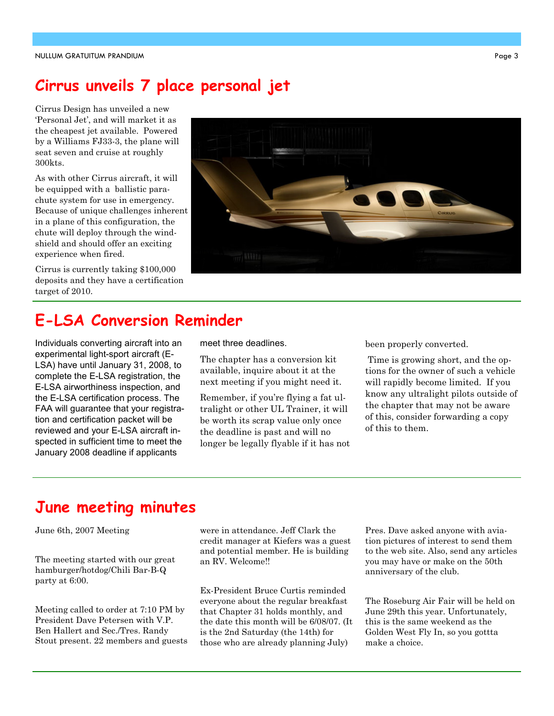# Cirrus unveils 7 place personal jet

Cirrus Design has unveiled a new 'Personal Jet', and will market it as the cheapest jet available. Powered by a Williams FJ33-3, the plane will seat seven and cruise at roughly 300kts.

As with other Cirrus aircraft, it will be equipped with a ballistic parachute system for use in emergency. Because of unique challenges inherent in a plane of this configuration, the chute will deploy through the windshield and should offer an exciting experience when fired.

Cirrus is currently taking \$100,000 deposits and they have a certification target of 2010.



# E-LSA Conversion Reminder

Individuals converting aircraft into an experimental light-sport aircraft (E-LSA) have until January 31, 2008, to complete the E-LSA registration, the E-LSA airworthiness inspection, and the E-LSA certification process. The FAA will guarantee that your registration and certification packet will be reviewed and your E-LSA aircraft inspected in sufficient time to meet the January 2008 deadline if applicants

meet three deadlines.

The chapter has a conversion kit available, inquire about it at the next meeting if you might need it.

Remember, if you're flying a fat ultralight or other UL Trainer, it will be worth its scrap value only once the deadline is past and will no longer be legally flyable if it has not been properly converted.

 Time is growing short, and the options for the owner of such a vehicle will rapidly become limited. If you know any ultralight pilots outside of the chapter that may not be aware of this, consider forwarding a copy of this to them.

## June meeting minutes

June 6th, 2007 Meeting

The meeting started with our great hamburger/hotdog/Chili Bar-B-Q party at 6:00.

Meeting called to order at 7:10 PM by President Dave Petersen with V.P. Ben Hallert and Sec./Tres. Randy Stout present. 22 members and guests were in attendance. Jeff Clark the credit manager at Kiefers was a guest and potential member. He is building an RV. Welcome!!

Ex-President Bruce Curtis reminded everyone about the regular breakfast that Chapter 31 holds monthly, and the date this month will be 6/08/07. (It is the 2nd Saturday (the 14th) for those who are already planning July)

Pres. Dave asked anyone with aviation pictures of interest to send them to the web site. Also, send any articles you may have or make on the 50th anniversary of the club.

The Roseburg Air Fair will be held on June 29th this year. Unfortunately, this is the same weekend as the Golden West Fly In, so you gottta make a choice.